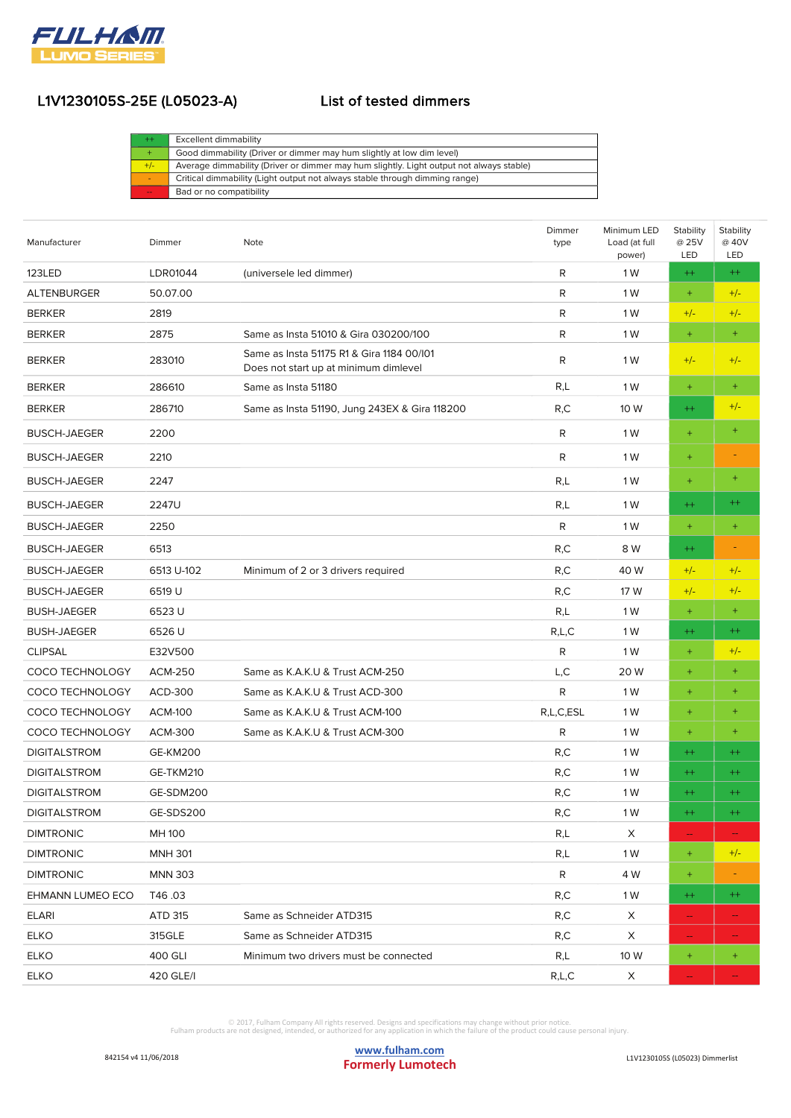

| Excellent dimmability                                                                   |
|-----------------------------------------------------------------------------------------|
| Good dimmability (Driver or dimmer may hum slightly at low dim level)                   |
| Average dimmability (Driver or dimmer may hum slightly. Light output not always stable) |
| Critical dimmability (Light output not always stable through dimming range)             |
| Bad or no compatibility                                                                 |
|                                                                                         |

| Manufacturer            | Dimmer          | Note                                                                               | Dimmer<br>type | Minimum LED<br>Load (at full<br>power) | Stability<br>@ 25V<br>LED | Stability<br>@ 40V<br>LED |
|-------------------------|-----------------|------------------------------------------------------------------------------------|----------------|----------------------------------------|---------------------------|---------------------------|
| 123LED                  | LDR01044        | (universele led dimmer)                                                            | R              | 1 W                                    | $++$                      | $^{++}$                   |
| <b>ALTENBURGER</b>      | 50.07.00        |                                                                                    | R              | 1 W                                    | $+$                       | $+/-$                     |
| <b>BERKER</b>           | 2819            |                                                                                    | R              | 1 W                                    | $+/-$                     | $+/-$                     |
| <b>BERKER</b>           | 2875            | Same as Insta 51010 & Gira 030200/100                                              | R              | 1 W                                    | $\pm$                     | $+$                       |
| <b>BERKER</b>           | 283010          | Same as Insta 51175 R1 & Gira 1184 00/101<br>Does not start up at minimum dimlevel | R              | 1 W                                    | $+/-$                     | $+/-$                     |
| <b>BERKER</b>           | 286610          | Same as Insta 51180                                                                | R,L            | 1 W                                    | $+$                       | $+$                       |
| <b>BERKER</b>           | 286710          | Same as Insta 51190, Jung 243EX & Gira 118200                                      | R,C            | 10 W                                   | $++$                      | $+/-$                     |
| <b>BUSCH-JAEGER</b>     | 2200            |                                                                                    | R              | 1 W                                    | $+$                       | $+$                       |
| <b>BUSCH-JAEGER</b>     | 2210            |                                                                                    | R              | 1 W                                    | $+$                       |                           |
| <b>BUSCH-JAEGER</b>     | 2247            |                                                                                    | R,L            | 1 W                                    | $+$                       | $+$                       |
| <b>BUSCH-JAEGER</b>     | 2247U           |                                                                                    | R,L            | 1 W                                    | $++$                      | $^{++}$                   |
| <b>BUSCH-JAEGER</b>     | 2250            |                                                                                    | R              | 1 W                                    | $\pm$                     | $+$                       |
| <b>BUSCH-JAEGER</b>     | 6513            |                                                                                    | R, C           | 8 W                                    | $^{++}$                   |                           |
| <b>BUSCH-JAEGER</b>     | 6513 U-102      | Minimum of 2 or 3 drivers required                                                 | R,C            | 40 W                                   | $+/-$                     | $+/-$                     |
| <b>BUSCH-JAEGER</b>     | 6519 U          |                                                                                    | R, C           | 17 W                                   | $+/-$                     | $+/-$                     |
| <b>BUSH-JAEGER</b>      | 6523U           |                                                                                    | R,L            | 1 W                                    | $+$                       | $+$                       |
| <b>BUSH-JAEGER</b>      | 6526 U          |                                                                                    | R,L,C          | 1 W                                    | $^{++}$                   | $^{++}$                   |
| <b>CLIPSAL</b>          | E32V500         |                                                                                    | R              | 1 W                                    | $+$                       | $+/-$                     |
| <b>COCO TECHNOLOGY</b>  | <b>ACM-250</b>  | Same as K.A.K.U & Trust ACM-250                                                    | L,C            | 20 W                                   | $+$                       | $+$                       |
| <b>COCO TECHNOLOGY</b>  | ACD-300         | Same as K.A.K.U & Trust ACD-300                                                    | R              | 1 W                                    | $\pm$                     | $\ddot{}$                 |
| COCO TECHNOLOGY         | <b>ACM-100</b>  | Same as K.A.K.U & Trust ACM-100                                                    | R,L,C,ESL      | 1 W                                    | $\ddot{}$                 | $\ddot{}$                 |
| COCO TECHNOLOGY         | ACM-300         | Same as K.A.K.U & Trust ACM-300                                                    | R              | 1 W                                    | $+$                       | $+$                       |
| <b>DIGITALSTROM</b>     | <b>GE-KM200</b> |                                                                                    | R, C           | 1 W                                    | $^{++}$                   | $^{++}$                   |
| <b>DIGITALSTROM</b>     | GE-TKM210       |                                                                                    | R,C            | 1 W                                    | $^{++}$                   | $^{++}$                   |
| <b>DIGITALSTROM</b>     | GE-SDM200       |                                                                                    | R,C            | 1 W                                    | $++$                      | $++$                      |
| <b>DIGITALSTROM</b>     | GE-SDS200       |                                                                                    | R,C            | 1 W                                    | $++$                      | $++$                      |
| <b>DIMTRONIC</b>        | MH 100          |                                                                                    | R,L            | X                                      | $\overline{\phantom{a}}$  |                           |
| <b>DIMTRONIC</b>        | <b>MNH 301</b>  |                                                                                    | R,L            | 1 W                                    | $\pm$                     | $+/-$                     |
| <b>DIMTRONIC</b>        | <b>MNN 303</b>  |                                                                                    | R              | 4 W                                    | $\pm$                     |                           |
| <b>EHMANN LUMEO ECO</b> | T46.03          |                                                                                    | R,C            | 1 W                                    | $^{++}$                   | $^{++}$                   |
| <b>ELARI</b>            | ATD 315         | Same as Schneider ATD315                                                           | R,C            | X                                      | $\rightarrow$             |                           |
| <b>ELKO</b>             | 315GLE          | Same as Schneider ATD315                                                           | R,C            | X                                      | $\overline{\phantom{a}}$  |                           |
| <b>ELKO</b>             | 400 GLI         | Minimum two drivers must be connected                                              | R,L            | 10 W                                   | $^{+}$                    | $^{+}$                    |
| <b>ELKO</b>             | 420 GLE/I       |                                                                                    | R,L,C          | X                                      |                           |                           |

© 2017, Fulham Company All rights reserved. Designs and specifications may change without prior notice.<br>Fulham products are not designed, intended, or authorized for any application in which the failure of the product coul

 $\overline{\phantom{a}}$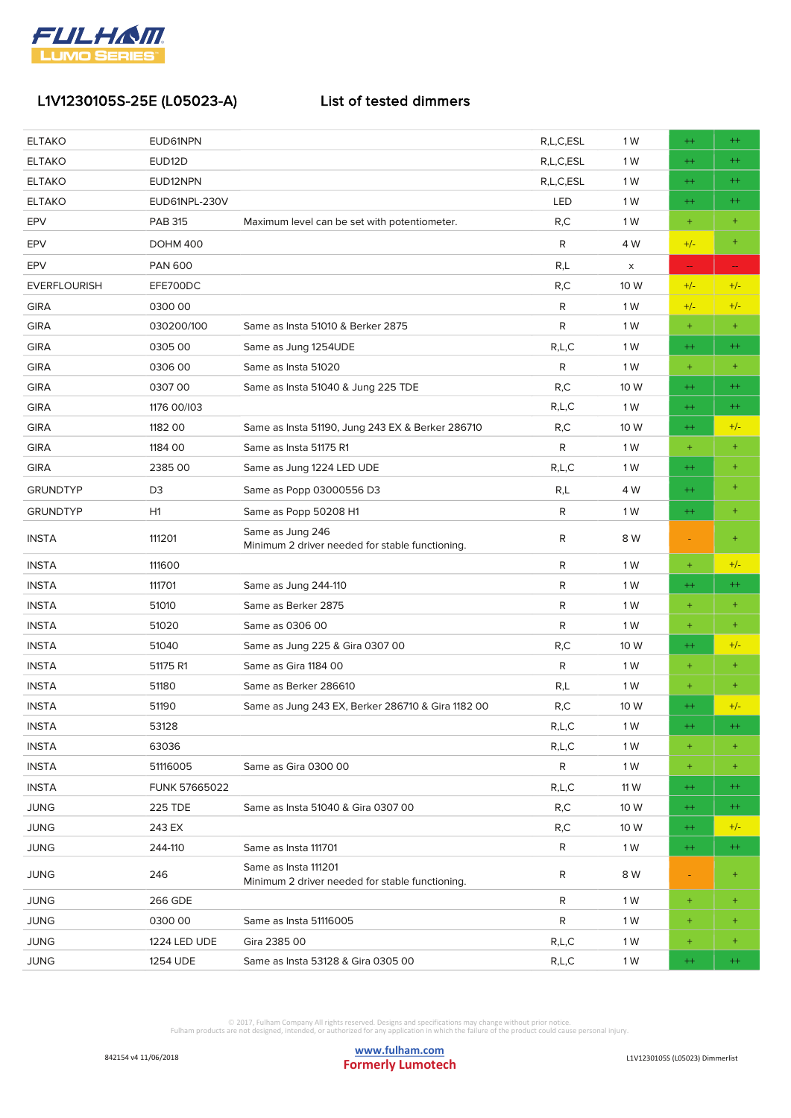

| <b>ELTAKO</b>       | EUD61NPN             |                                                                         | R,L,C,ESL    | 1 W  | $^{++}$       | $^{++}$          |
|---------------------|----------------------|-------------------------------------------------------------------------|--------------|------|---------------|------------------|
| <b>ELTAKO</b>       | EUD <sub>12</sub> D  |                                                                         | R,L,C,ESL    | 1 W  | $^{++}$       | $^{++}$          |
| <b>ELTAKO</b>       | EUD12NPN             |                                                                         | R,L,C,ESL    | 1 W  | $^{++}$       | $^{++}$          |
| <b>ELTAKO</b>       | EUD61NPL-230V        |                                                                         | LED          | 1 W  | $^{++}$       | $^{++}$          |
| EPV                 | <b>PAB 315</b>       | Maximum level can be set with potentiometer.                            | R, C         | 1 W  | $+$           | $\pm$            |
| EPV                 | <b>DOHM 400</b>      |                                                                         | R            | 4 W  | $+/-$         | $\ddot{}$        |
| <b>EPV</b>          | <b>PAN 600</b>       |                                                                         | R,L          | X    | $\rightarrow$ |                  |
| <b>EVERFLOURISH</b> | EFE700DC             |                                                                         | R, C         | 10 W | $+/-$         | $+/-$            |
| <b>GIRA</b>         | 030000               |                                                                         | R            | 1 W  | $+/-$         | $+/-$            |
| <b>GIRA</b>         | 030200/100           | Same as Insta 51010 & Berker 2875                                       | R            | 1 W  | $\pm$         | $+$              |
| <b>GIRA</b>         | 0305 00              | Same as Jung 1254UDE                                                    | R,L,C        | 1 W  | $^{++}$       | $^{++}$          |
| <b>GIRA</b>         | 0306 00              | Same as Insta 51020                                                     | R            | 1 W  | $\pm$         | $\ddot{}$        |
| <b>GIRA</b>         | 030700               | Same as Insta 51040 & Jung 225 TDE                                      | R,C          | 10 W | $^{++}$       | $^{++}$          |
| <b>GIRA</b>         | 1176 00/103          |                                                                         | R,L,C        | 1 W  | $^{++}$       | $^{++}$          |
| <b>GIRA</b>         | 1182 00              | Same as Insta 51190, Jung 243 EX & Berker 286710                        | R, C         | 10 W | $++$          | $+/-$            |
| <b>GIRA</b>         | 1184 00              | Same as Insta 51175 R1                                                  | R            | 1 W  | $\ddot{}$     | $\pm$            |
| <b>GIRA</b>         | 2385 00              | Same as Jung 1224 LED UDE                                               | R,L,C        | 1 W  | $++$          | $\ddot{}$        |
| <b>GRUNDTYP</b>     | D <sub>3</sub>       | Same as Popp 03000556 D3                                                | R,L          | 4 W  | $^{++}$       | ÷                |
| <b>GRUNDTYP</b>     | H1                   | Same as Popp 50208 H1                                                   | R            | 1 W  | $^{++}$       | $\ddot{}$        |
| <b>INSTA</b>        | 111201               | Same as Jung 246<br>Minimum 2 driver needed for stable functioning.     | R            | 8 W  |               | $\ddot{}$        |
| <b>INSTA</b>        | 111600               |                                                                         | R            | 1 W  | $\pm$         | $+/-$            |
| <b>INSTA</b>        | 111701               | Same as Jung 244-110                                                    | R            | 1 W  | $^{++}$       | $^{++}$          |
| <b>INSTA</b>        | 51010                | Same as Berker 2875                                                     | R            | 1 W  | $+$           | $\pm$            |
| <b>INSTA</b>        | 51020                | Same as 0306 00                                                         | R            | 1 W  | $\pm$         | $^{+}$           |
| <b>INSTA</b>        | 51040                | Same as Jung 225 & Gira 0307 00                                         | R, C         | 10 W | $^{++}$       | $+/-$            |
| <b>INSTA</b>        | 51175 R1             | Same as Gira 1184 00                                                    | R            | 1 W  | $+$           | $\ddot{}$        |
| <b>INSTA</b>        | 51180                | Same as Berker 286610                                                   | R,L          | 1 W  | $+$           | $+$              |
| <b>INSTA</b>        | 51190                | Same as Jung 243 EX, Berker 286710 & Gira 1182 00                       | R,C          | 10 W | $^{++}$       | $+/-$            |
| <b>INSTA</b>        | 53128                |                                                                         | R,L,C        | 1 W  | $++$          | $^{++}$          |
| <b>INSTA</b>        | 63036                |                                                                         | R,L,C        | 1 W  | $\pm$         | $\pm$            |
| <b>INSTA</b>        | 51116005             | Same as Gira 0300 00                                                    | $\mathsf{R}$ | 1 W  | $\pm$         | $^{+}$           |
| <b>INSTA</b>        | <b>FUNK 57665022</b> |                                                                         | R,L,C        | 11 W | $^{++}$       | $^{++}$          |
| <b>JUNG</b>         | <b>225 TDE</b>       | Same as Insta 51040 & Gira 0307 00                                      | R, C         | 10 W | $^{++}$       | $^{++}$          |
| <b>JUNG</b>         | 243 EX               |                                                                         | R, C         | 10 W | $^{++}$       | $+/-$            |
| <b>JUNG</b>         | 244-110              | Same as Insta 111701                                                    | R            | 1 W  | $^{++}$       | $^{++}$          |
| <b>JUNG</b>         | 246                  | Same as Insta 111201<br>Minimum 2 driver needed for stable functioning. | R            | 8 W  |               | $\pm$            |
| <b>JUNG</b>         | 266 GDE              |                                                                         | R            | 1 W  | $\pm$         | $^{+}$           |
| <b>JUNG</b>         | 030000               | Same as Insta 51116005                                                  | R            | 1 W  | $\ddot{}$     | $\scriptstyle +$ |
| <b>JUNG</b>         | 1224 LED UDE         | Gira 2385 00                                                            | R,L,C        | 1 W  | $\pm$         | $^{+}$           |
| <b>JUNG</b>         | 1254 UDE             | Same as Insta 53128 & Gira 0305 00                                      | R,L,C        | 1 W  | $^{++}$       | $^{++}$          |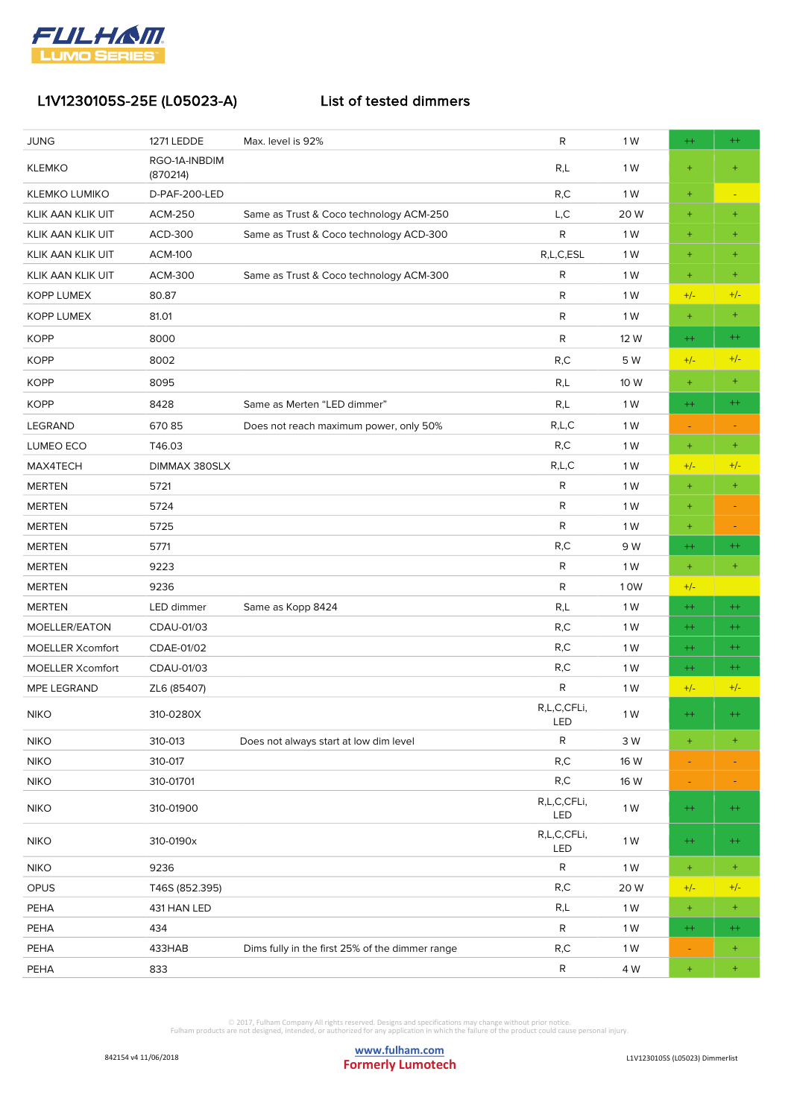

| <b>JUNG</b>             | 1271 LEDDE                | Max. level is 92%                               | R                  | 1 W  | $^{++}$   | $^{++}$          |
|-------------------------|---------------------------|-------------------------------------------------|--------------------|------|-----------|------------------|
| <b>KLEMKO</b>           | RGO-1A-INBDIM<br>(870214) |                                                 | R,L                | 1 W  | $\ddot{}$ | $\ddot{}$        |
| <b>KLEMKO LUMIKO</b>    | D-PAF-200-LED             |                                                 | R, C               | 1 W  | $\ddot{}$ |                  |
| KLIK AAN KLIK UIT       | <b>ACM-250</b>            | Same as Trust & Coco technology ACM-250         | L, C               | 20W  | $\pm$     | $+$              |
| KLIK AAN KLIK UIT       | ACD-300                   | Same as Trust & Coco technology ACD-300         | $\mathsf{R}$       | 1 W  | $\ddot{}$ | $+$              |
| KLIK AAN KLIK UIT       | <b>ACM-100</b>            |                                                 | R,L,C,ESL          | 1 W  | $\ddot{}$ | $^{+}$           |
| KLIK AAN KLIK UIT       | <b>ACM-300</b>            | Same as Trust & Coco technology ACM-300         | ${\sf R}$          | 1 W  | $\ddot{}$ | $\pm$            |
| <b>KOPP LUMEX</b>       | 80.87                     |                                                 | $\mathsf{R}$       | 1 W  | $+/-$     | $+/-$            |
| <b>KOPP LUMEX</b>       | 81.01                     |                                                 | $\mathsf{R}$       | 1 W  | $\ddot{}$ | $\pm$            |
| <b>KOPP</b>             | 8000                      |                                                 | $\mathsf{R}$       | 12 W | $^{++}$   | $^{++}$          |
| <b>KOPP</b>             | 8002                      |                                                 | R, C               | 5 W  | $+/-$     | $+/-$            |
| <b>KOPP</b>             | 8095                      |                                                 | R,L                | 10 W | $\ddot{}$ | $\pm$            |
| <b>KOPP</b>             | 8428                      | Same as Merten "LED dimmer"                     | R,L                | 1 W  | $^{++}$   | $^{++}$          |
| <b>LEGRAND</b>          | 67085                     | Does not reach maximum power, only 50%          | R,L,C              | 1 W  |           |                  |
| LUMEO ECO               | T46.03                    |                                                 | R, C               | 1 W  | $\pm$     | $\pm$            |
| MAX4TECH                | DIMMAX 380SLX             |                                                 | R,L,C              | 1 W  | $+/-$     | $+/-$            |
| <b>MERTEN</b>           | 5721                      |                                                 | ${\sf R}$          | 1 W  | $\ddot{}$ | $\pm$            |
| <b>MERTEN</b>           | 5724                      |                                                 | $\mathsf{R}$       | 1 W  | $\pm$     | ٠                |
| <b>MERTEN</b>           | 5725                      |                                                 | $\mathsf{R}$       | 1 W  | $\pm$     |                  |
| <b>MERTEN</b>           | 5771                      |                                                 | R, C               | 9 W  | $^{++}$   | $^{++}$          |
| <b>MERTEN</b>           | 9223                      |                                                 | $\mathsf{R}$       | 1 W  | $\ddot{}$ | $\ddot{}$        |
| <b>MERTEN</b>           | 9236                      |                                                 | R                  | 10W  | $+/-$     |                  |
| <b>MERTEN</b>           | LED dimmer                | Same as Kopp 8424                               | R,L                | 1 W  | $^{++}$   | $^{++}$          |
| MOELLER/EATON           | CDAU-01/03                |                                                 | R,C                | 1 W  | $^{++}$   | $^{++}$          |
| <b>MOELLER Xcomfort</b> | CDAE-01/02                |                                                 | R, C               | 1 W  | $^{++}$   | $^{++}$          |
| <b>MOELLER Xcomfort</b> | CDAU-01/03                |                                                 | R,C                | 1 W  | $^{++}$   | $^{++}$          |
| MPE LEGRAND             | ZL6 (85407)               |                                                 | R                  | 1 W  | $+/-$     | $+/-$            |
| <b>NIKO</b>             | 310-0280X                 |                                                 | R,L,C,CFLi,<br>LED | 1 W  | $^{++}$   | $^{++}$          |
| <b>NIKO</b>             | 310-013                   | Does not always start at low dim level          | $\mathsf{R}$       | 3 W  | $\pm$     | $^{+}$           |
| <b>NIKO</b>             | 310-017                   |                                                 | R, C               | 16 W | ۳         |                  |
| <b>NIKO</b>             | 310-01701                 |                                                 | R, C               | 16 W | ٠         |                  |
| <b>NIKO</b>             | 310-01900                 |                                                 | R,L,C,CFLi,<br>LED | 1 W  | $^{++}$   | $^{++}$          |
| <b>NIKO</b>             | 310-0190x                 |                                                 | R,L,C,CFLi,<br>LED | 1 W  | $^{++}$   | $^{++}$          |
| <b>NIKO</b>             | 9236                      |                                                 | $\mathsf{R}$       | 1 W  | $\pm$     | $\color{red}{+}$ |
| OPUS                    | T46S (852.395)            |                                                 | R, C               | 20W  | $+/-$     | $+/-$            |
| PEHA                    | 431 HAN LED               |                                                 | R,L                | 1 W  | $\pm$     | $\pm$            |
| PEHA                    | 434                       |                                                 | R                  | 1 W  | $^{++}$   | $^{++}$          |
| PEHA                    | 433HAB                    | Dims fully in the first 25% of the dimmer range | R, C               | 1 W  | Ξ         | $\ddot{}$        |
| PEHA                    | 833                       |                                                 | $\mathsf{R}$       | 4 W  | $\ddot{}$ | $\pm$            |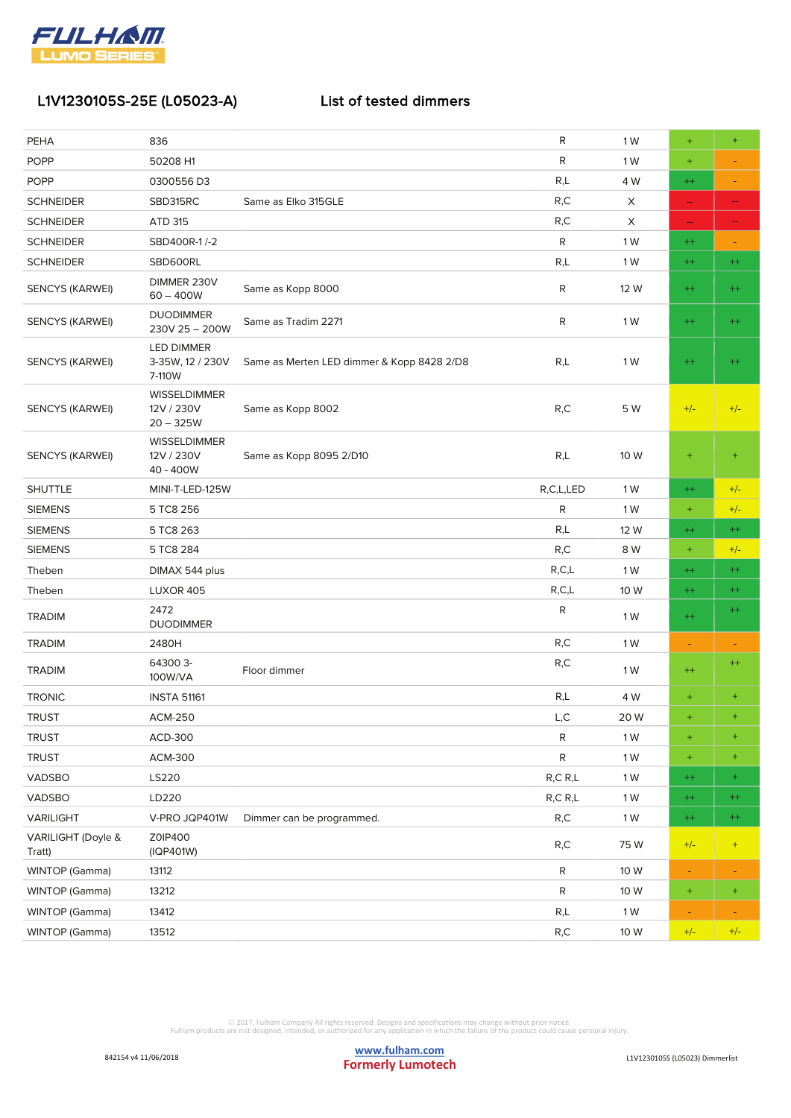

| PEHA                         | 836                                              |                                            | R            | 1 W  | $\ddot{}$                | $\ddot{}$        |
|------------------------------|--------------------------------------------------|--------------------------------------------|--------------|------|--------------------------|------------------|
| <b>POPP</b>                  | 50208 H1                                         |                                            | R            | 1 W  | $\pm$                    |                  |
| <b>POPP</b>                  | 0300556D3                                        |                                            | R,L          | 4 W  | $^{++}$                  | Ξ                |
| <b>SCHNEIDER</b>             | SBD315RC                                         | Same as Elko 315GLE                        | R, C         | Χ    | $\hspace{0.05cm}$        | --               |
| <b>SCHNEIDER</b>             | ATD 315                                          |                                            | R,C          | Χ    | ÷                        | --               |
| <b>SCHNEIDER</b>             | SBD400R-1/-2                                     |                                            | R            | 1 W  | $^{++}$                  |                  |
| <b>SCHNEIDER</b>             | SBD600RL                                         |                                            | R,L          | 1 W  | $^{++}$                  | $^{++}$          |
| <b>SENCYS (KARWEI)</b>       | DIMMER 230V<br>$60 - 400W$                       | Same as Kopp 8000                          | ${\sf R}$    | 12 W | $^{++}$                  | $^{++}$          |
| SENCYS (KARWEI)              | <b>DUODIMMER</b><br>230V 25 - 200W               | Same as Tradim 2271                        | R            | 1 W  | $^{++}$                  | $^{++}$          |
| SENCYS (KARWEI)              | <b>LED DIMMER</b><br>3-35W, 12 / 230V<br>7-110W  | Same as Merten LED dimmer & Kopp 8428 2/D8 | R,L          | 1 W  | $^{++}$                  | $^{++}$          |
| SENCYS (KARWEI)              | <b>WISSELDIMMER</b><br>12V / 230V<br>$20 - 325W$ | Same as Kopp 8002                          | R, C         | 5 W  | $+/-$                    | $+/-$            |
| SENCYS (KARWEI)              | <b>WISSELDIMMER</b><br>12V / 230V<br>40 - 400W   | Same as Kopp 8095 2/D10                    | R,L          | 10 W | $\pm$                    | $\ddot{}$        |
| <b>SHUTTLE</b>               | MINI-T-LED-125W                                  |                                            | R,C,L,LED    | 1 W  | $^{++}$                  | $+/-$            |
| <b>SIEMENS</b>               | 5 TC8 256                                        |                                            | R            | 1 W  | $\pm$                    | $+/-$            |
| <b>SIEMENS</b>               | 5 TC8 263                                        |                                            | R,L          | 12 W | $^{++}$                  | $^{++}$          |
| <b>SIEMENS</b>               | 5 TC8 284                                        |                                            | R, C         | 8 W  | $\pm$                    | $+/-$            |
| Theben                       | DIMAX 544 plus                                   |                                            | R, C, L      | 1 W  | $^{++}$                  | $^{++}$          |
| Theben                       | <b>LUXOR 405</b>                                 |                                            | R, C, L      | 10 W | $^{++}$                  | $^{++}$          |
| <b>TRADIM</b>                | 2472<br><b>DUODIMMER</b>                         |                                            | R            | 1 W  | $^{++}$                  | $^{++}$          |
| <b>TRADIM</b>                | 2480H                                            |                                            | R,C          | 1 W  | $\overline{\phantom{a}}$ | ٠                |
| <b>TRADIM</b>                | 64300 3-<br>100W/VA                              | Floor dimmer                               | R,C          | 1 W  | $^{++}$                  | $^{++}$          |
| <b>TRONIC</b>                | <b>INSTA 51161</b>                               |                                            | R,L          | 4 W  | $^{+}$                   | $\pm$            |
| <b>TRUST</b>                 | <b>ACM-250</b>                                   |                                            | L, C         | 20 W | $\pm$                    | $\pm$            |
| <b>TRUST</b>                 | ACD-300                                          |                                            | R            | 1 W  | $\pm$                    | $\ddot{}$        |
| <b>TRUST</b>                 | <b>ACM-300</b>                                   |                                            | $\mathsf{R}$ | 1 W  | $\pm$                    | $\scriptstyle +$ |
| VADSBO                       | LS220                                            |                                            | R, C, R, L   | 1 W  | $^{++}$                  | $\pm$            |
| VADSBO                       | LD220                                            |                                            | R, C, R, L   | 1 W  | $^{++}$                  | $^{++}$          |
| VARILIGHT                    | V-PRO JQP401W                                    | Dimmer can be programmed.                  | R,C          | 1 W  | $^{++}$                  | $^{++}$          |
| VARILIGHT (Doyle &<br>Tratt) | Z0IP400<br>(IQP401W)                             |                                            | R, C         | 75W  | $+/-$                    | $+$              |
| WINTOP (Gamma)               | 13112                                            |                                            | ${\sf R}$    | 10 W |                          |                  |
| WINTOP (Gamma)               | 13212                                            |                                            | R            | 10 W | $\pm$                    | $\pm$            |
| WINTOP (Gamma)               | 13412                                            |                                            | R,L          | 1 W  | ٠                        | ٠                |
| WINTOP (Gamma)               | 13512                                            |                                            | R, C         | 10 W | $+/-$                    | $+/-$            |